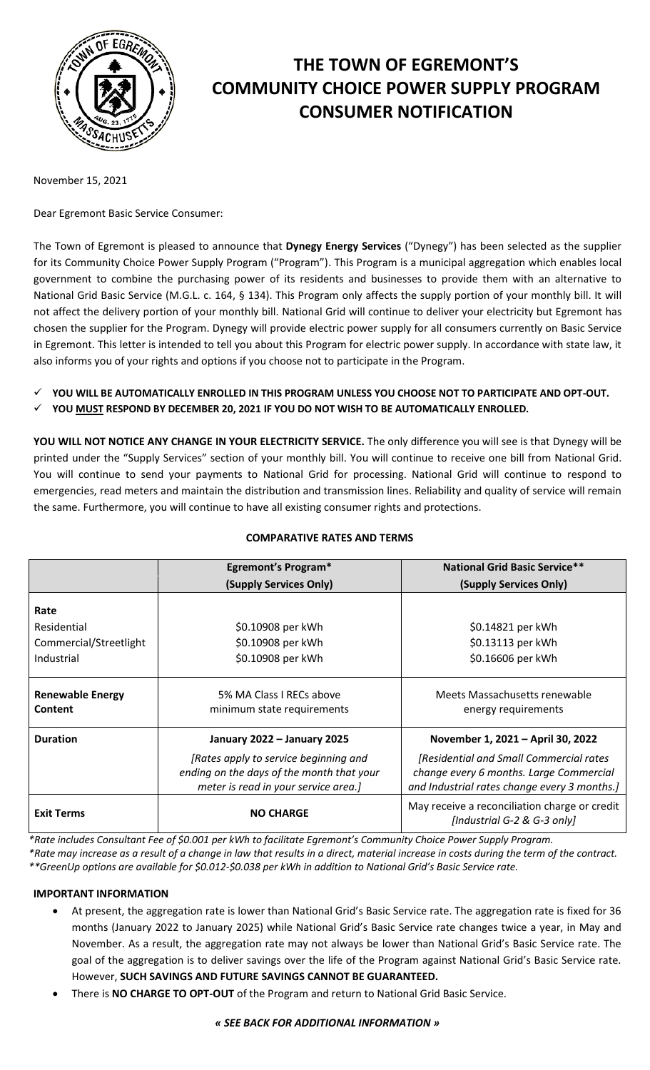

# **THE TOWN OF EGREMONT'S COMMUNITY CHOICE POWER SUPPLY PROGRAM CONSUMER NOTIFICATION**

November 15, 2021

Dear Egremont Basic Service Consumer:

The Town of Egremont is pleased to announce that **Dynegy Energy Services** ("Dynegy") has been selected as the supplier for its Community Choice Power Supply Program ("Program"). This Program is a municipal aggregation which enables local government to combine the purchasing power of its residents and businesses to provide them with an alternative to National Grid Basic Service (M.G.L. c. 164, § 134). This Program only affects the supply portion of your monthly bill. It will not affect the delivery portion of your monthly bill. National Grid will continue to deliver your electricity but Egremont has chosen the supplier for the Program. Dynegy will provide electric power supply for all consumers currently on Basic Service in Egremont. This letter is intended to tell you about this Program for electric power supply. In accordance with state law, it also informs you of your rights and options if you choose not to participate in the Program.

- **YOU WILL BE AUTOMATICALLY ENROLLED IN THIS PROGRAM UNLESS YOU CHOOSE NOT TO PARTICIPATE AND OPT-OUT.**
- **YOU MUST RESPOND BY DECEMBER 20, 2021 IF YOU DO NOT WISH TO BE AUTOMATICALLY ENROLLED.**

**YOU WILL NOT NOTICE ANY CHANGE IN YOUR ELECTRICITY SERVICE.** The only difference you will see is that Dynegy will be printed under the "Supply Services" section of your monthly bill. You will continue to receive one bill from National Grid. You will continue to send your payments to National Grid for processing. National Grid will continue to respond to emergencies, read meters and maintain the distribution and transmission lines. Reliability and quality of service will remain the same. Furthermore, you will continue to have all existing consumer rights and protections.

# **COMPARATIVE RATES AND TERMS**

|                                           | <b>Egremont's Program*</b>                                                                                                 | <b>National Grid Basic Service**</b>                                                                                               |
|-------------------------------------------|----------------------------------------------------------------------------------------------------------------------------|------------------------------------------------------------------------------------------------------------------------------------|
|                                           | (Supply Services Only)                                                                                                     | (Supply Services Only)                                                                                                             |
| Rate                                      |                                                                                                                            |                                                                                                                                    |
| Residential                               | \$0.10908 per kWh                                                                                                          | \$0.14821 per kWh                                                                                                                  |
| Commercial/Streetlight                    | \$0.10908 per kWh                                                                                                          | \$0.13113 per kWh                                                                                                                  |
| Industrial                                | \$0.10908 per kWh                                                                                                          | \$0.16606 per kWh                                                                                                                  |
| <b>Renewable Energy</b><br><b>Content</b> | 5% MA Class I RECs above<br>minimum state requirements                                                                     | Meets Massachusetts renewable<br>energy requirements                                                                               |
| <b>Duration</b>                           | January 2022 - January 2025                                                                                                | November 1, 2021 - April 30, 2022                                                                                                  |
|                                           | [Rates apply to service beginning and<br>ending on the days of the month that your<br>meter is read in your service area.] | [Residential and Small Commercial rates<br>change every 6 months. Large Commercial<br>and Industrial rates change every 3 months.] |
| <b>Exit Terms</b>                         | <b>NO CHARGE</b>                                                                                                           | May receive a reconciliation charge or credit<br>[Industrial G-2 & G-3 only]                                                       |

*\*Rate includes Consultant Fee of \$0.001 per kWh to facilitate Egremont's Community Choice Power Supply Program.*

*\*Rate may increase as a result of a change in law that results in a direct, material increase in costs during the term of the contract. \*\*GreenUp options are available for \$0.012-\$0.038 per kWh in addition to National Grid's Basic Service rate.*

## **IMPORTANT INFORMATION**

- At present, the aggregation rate is lower than National Grid's Basic Service rate. The aggregation rate is fixed for 36 months (January 2022 to January 2025) while National Grid's Basic Service rate changes twice a year, in May and November. As a result, the aggregation rate may not always be lower than National Grid's Basic Service rate. The goal of the aggregation is to deliver savings over the life of the Program against National Grid's Basic Service rate. However, **SUCH SAVINGS AND FUTURE SAVINGS CANNOT BE GUARANTEED.**
- There is **NO CHARGE TO OPT-OUT** of the Program and return to National Grid Basic Service.